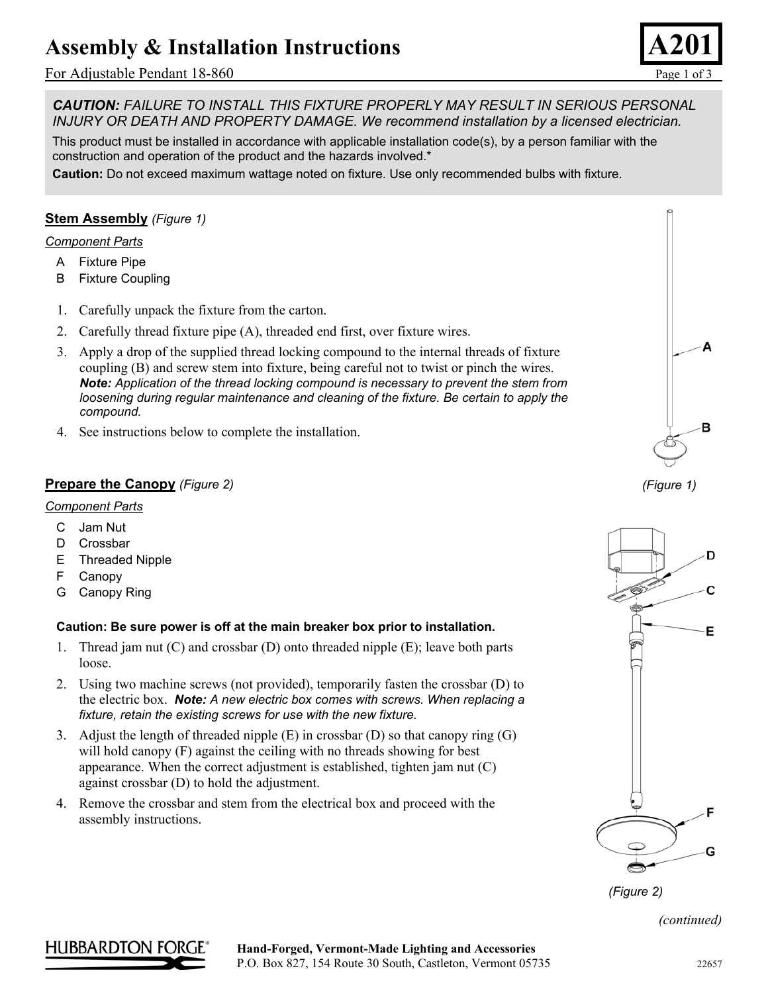# **Assembly & Installation Instructions**

## For Adjustable Pendant 18-860Page 1 of 3



*CAUTION: FAILURE TO INSTALL THIS FIXTURE PROPERLY MAY RESULT IN SERIOUS PERSONAL INJURY OR DEATH AND PROPERTY DAMAGE. We recommend installation by a licensed electrician.*

This product must be installed in accordance with applicable installation code(s), by a person familiar with the construction and operation of the product and the hazards involved.\*

**Caution:** Do not exceed maximum wattage noted on fixture. Use only recommended bulbs with fixture.

## **Stem Assembly** *(Figure 1)*

#### *Component Parts*

- A Fixture Pipe
- B Fixture Coupling
- 1. Carefully unpack the fixture from the carton.
- 2. Carefully thread fixture pipe (A), threaded end first, over fixture wires.
- 3. Apply a drop of the supplied thread locking compound to the internal threads of fixture coupling (B) and screw stem into fixture, being careful not to twist or pinch the wires. *Note: Application of the thread locking compound is necessary to prevent the stem from*  loosening during regular maintenance and cleaning of the fixture. Be certain to apply the *compound.*
- 4. See instructions below to complete the installation.

## **Prepare the Canopy** *(Figure 2)*

### *Component Parts*

- C Jam Nut
- D Crossbar
- E Threaded Nipple
- F Canopy
- G Canopy Ring

### **Caution: Be sure power is off at the main breaker box prior to installation.**

- 1. Thread jam nut (C) and crossbar (D) onto threaded nipple (E); leave both parts loose.
- 2. Using two machine screws (not provided), temporarily fasten the crossbar (D) to the electric box. *Note: A new electric box comes with screws. When replacing a fixture, retain the existing screws for use with the new fixture.*
- 3. Adjust the length of threaded nipple (E) in crossbar (D) so that canopy ring (G) will hold canopy (F) against the ceiling with no threads showing for best appearance. When the correct adjustment is established, tighten jam nut (C) against crossbar (D) to hold the adjustment.
- 4. Remove the crossbar and stem from the electrical box and proceed with the assembly instructions.



*(Figure 1)* 



*(Figure 2)* 

*(continued)* 

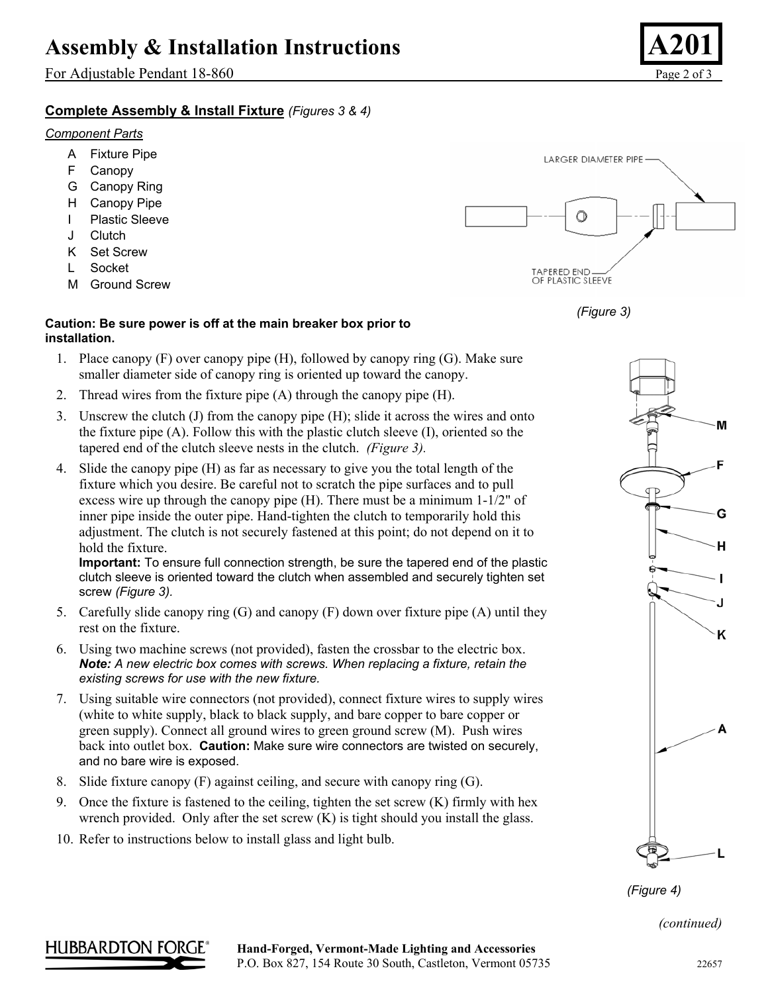## **Assembly & Installation Instructions**

For Adjustable Pendant 18-860Page 2 of 3

## **Complete Assembly & Install Fixture** *(Figures 3 & 4)*

### *Component Parts*

- A Fixture Pipe
- F Canopy
- G Canopy Ring
- H Canopy Pipe
- I Plastic Sleeve
- J Clutch
- K Set Screw
- L Socket
- M Ground Screw

## **Caution: Be sure power is off at the main breaker box prior to installation.**

- 1. Place canopy (F) over canopy pipe (H), followed by canopy ring (G). Make sure smaller diameter side of canopy ring is oriented up toward the canopy.
- 2. Thread wires from the fixture pipe (A) through the canopy pipe (H).
- 3. Unscrew the clutch (J) from the canopy pipe (H); slide it across the wires and onto the fixture pipe (A). Follow this with the plastic clutch sleeve (I), oriented so the tapered end of the clutch sleeve nests in the clutch. *(Figure 3).*
- 4. Slide the canopy pipe (H) as far as necessary to give you the total length of the fixture which you desire. Be careful not to scratch the pipe surfaces and to pull excess wire up through the canopy pipe  $(H)$ . There must be a minimum 1-1/2" of inner pipe inside the outer pipe. Hand-tighten the clutch to temporarily hold this adjustment. The clutch is not securely fastened at this point; do not depend on it to hold the fixture.

**Important:** To ensure full connection strength, be sure the tapered end of the plastic clutch sleeve is oriented toward the clutch when assembled and securely tighten set screw *(Figure 3).*

- 5. Carefully slide canopy ring (G) and canopy (F) down over fixture pipe (A) until they rest on the fixture.
- 6. Using two machine screws (not provided), fasten the crossbar to the electric box. *Note: A new electric box comes with screws. When replacing a fixture, retain the existing screws for use with the new fixture.*
- 7. Using suitable wire connectors (not provided), connect fixture wires to supply wires (white to white supply, black to black supply, and bare copper to bare copper or green supply). Connect all ground wires to green ground screw (M). Push wires back into outlet box. **Caution:** Make sure wire connectors are twisted on securely, and no bare wire is exposed.
- 8. Slide fixture canopy (F) against ceiling, and secure with canopy ring (G).
- 9. Once the fixture is fastened to the ceiling, tighten the set screw (K) firmly with hex wrench provided. Only after the set screw (K) is tight should you install the glass.
- 10. Refer to instructions below to install glass and light bulb.

LARGER DIAMETER PIPE O **TAPERED END** OF PLASTIC SLEEVE





*(Figure 4)* 

*(continued)*